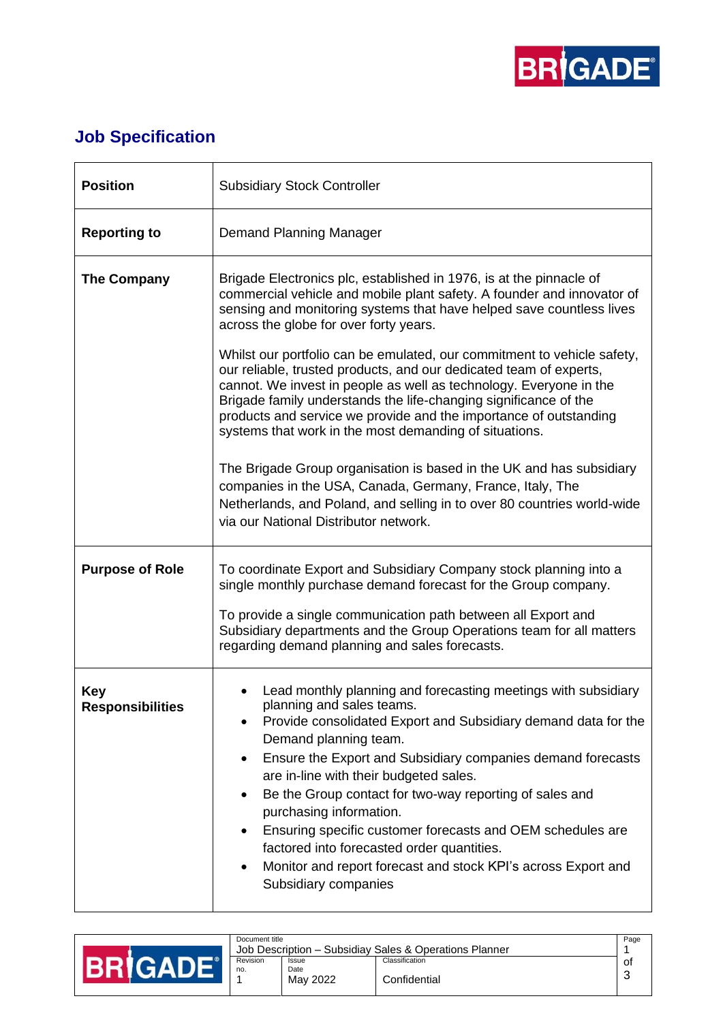

## **Job Specification**

| <b>Position</b>                       | <b>Subsidiary Stock Controller</b>                                                                                                                                                                                                                                                                                                                                                                                                                                                                                                                                                                                              |  |  |  |  |
|---------------------------------------|---------------------------------------------------------------------------------------------------------------------------------------------------------------------------------------------------------------------------------------------------------------------------------------------------------------------------------------------------------------------------------------------------------------------------------------------------------------------------------------------------------------------------------------------------------------------------------------------------------------------------------|--|--|--|--|
| <b>Reporting to</b>                   | Demand Planning Manager                                                                                                                                                                                                                                                                                                                                                                                                                                                                                                                                                                                                         |  |  |  |  |
| The Company                           | Brigade Electronics plc, established in 1976, is at the pinnacle of<br>commercial vehicle and mobile plant safety. A founder and innovator of<br>sensing and monitoring systems that have helped save countless lives<br>across the globe for over forty years.<br>Whilst our portfolio can be emulated, our commitment to vehicle safety,<br>our reliable, trusted products, and our dedicated team of experts,<br>cannot. We invest in people as well as technology. Everyone in the<br>Brigade family understands the life-changing significance of the<br>products and service we provide and the importance of outstanding |  |  |  |  |
|                                       | systems that work in the most demanding of situations.<br>The Brigade Group organisation is based in the UK and has subsidiary<br>companies in the USA, Canada, Germany, France, Italy, The<br>Netherlands, and Poland, and selling in to over 80 countries world-wide<br>via our National Distributor network.                                                                                                                                                                                                                                                                                                                 |  |  |  |  |
| <b>Purpose of Role</b>                | To coordinate Export and Subsidiary Company stock planning into a<br>single monthly purchase demand forecast for the Group company.<br>To provide a single communication path between all Export and                                                                                                                                                                                                                                                                                                                                                                                                                            |  |  |  |  |
|                                       | Subsidiary departments and the Group Operations team for all matters<br>regarding demand planning and sales forecasts.                                                                                                                                                                                                                                                                                                                                                                                                                                                                                                          |  |  |  |  |
| <b>Key</b><br><b>Responsibilities</b> | Lead monthly planning and forecasting meetings with subsidiary<br>planning and sales teams.<br>Provide consolidated Export and Subsidiary demand data for the<br>Demand planning team.<br>Ensure the Export and Subsidiary companies demand forecasts<br>$\bullet$<br>are in-line with their budgeted sales.<br>Be the Group contact for two-way reporting of sales and<br>٠<br>purchasing information.<br>Ensuring specific customer forecasts and OEM schedules are<br>٠<br>factored into forecasted order quantities.<br>Monitor and report forecast and stock KPI's across Export and<br>$\bullet$<br>Subsidiary companies  |  |  |  |  |

| Document title<br>Job Description - Subsidiay Sales & Operations Planner |                           |                                | Page |
|--------------------------------------------------------------------------|---------------------------|--------------------------------|------|
| Revision<br>no.                                                          | Issue<br>Date<br>May 2022 | Classification<br>Confidential | 0t   |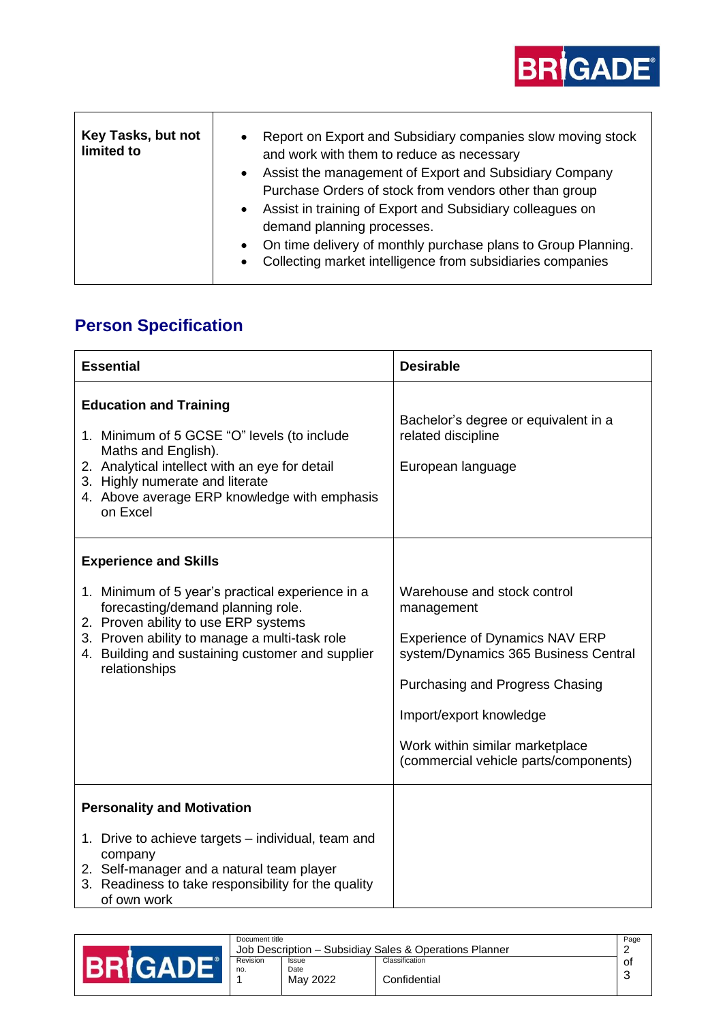

| Key Tasks, but not<br>limited to | Report on Export and Subsidiary companies slow moving stock<br>$\bullet$<br>and work with them to reduce as necessary<br>Assist the management of Export and Subsidiary Company<br>$\bullet$<br>Purchase Orders of stock from vendors other than group<br>Assist in training of Export and Subsidiary colleagues on<br>$\bullet$ |
|----------------------------------|----------------------------------------------------------------------------------------------------------------------------------------------------------------------------------------------------------------------------------------------------------------------------------------------------------------------------------|
|                                  | demand planning processes.<br>On time delivery of monthly purchase plans to Group Planning.<br>Collecting market intelligence from subsidiaries companies<br>$\bullet$                                                                                                                                                           |

## **Person Specification**

| <b>Essential</b>                                                                                                                                                                                                                                                                    | <b>Desirable</b>                                                                                                                                                                                                                                                     |
|-------------------------------------------------------------------------------------------------------------------------------------------------------------------------------------------------------------------------------------------------------------------------------------|----------------------------------------------------------------------------------------------------------------------------------------------------------------------------------------------------------------------------------------------------------------------|
| <b>Education and Training</b><br>1. Minimum of 5 GCSE "O" levels (to include<br>Maths and English).<br>2. Analytical intellect with an eye for detail<br>3. Highly numerate and literate<br>4. Above average ERP knowledge with emphasis<br>on Excel                                | Bachelor's degree or equivalent in a<br>related discipline<br>European language                                                                                                                                                                                      |
| <b>Experience and Skills</b><br>1. Minimum of 5 year's practical experience in a<br>forecasting/demand planning role.<br>2. Proven ability to use ERP systems<br>3. Proven ability to manage a multi-task role<br>4. Building and sustaining customer and supplier<br>relationships | Warehouse and stock control<br>management<br><b>Experience of Dynamics NAV ERP</b><br>system/Dynamics 365 Business Central<br>Purchasing and Progress Chasing<br>Import/export knowledge<br>Work within similar marketplace<br>(commercial vehicle parts/components) |
| <b>Personality and Motivation</b><br>1. Drive to achieve targets - individual, team and<br>company<br>2. Self-manager and a natural team player<br>3. Readiness to take responsibility for the quality<br>of own work                                                               |                                                                                                                                                                                                                                                                      |

| Document title<br>Job Description - Subsidiay Sales & Operations Planner |                           |                                | Page |
|--------------------------------------------------------------------------|---------------------------|--------------------------------|------|
| Revision<br>no.                                                          | Issue<br>Date<br>May 2022 | Classification<br>Confidential | 0t   |